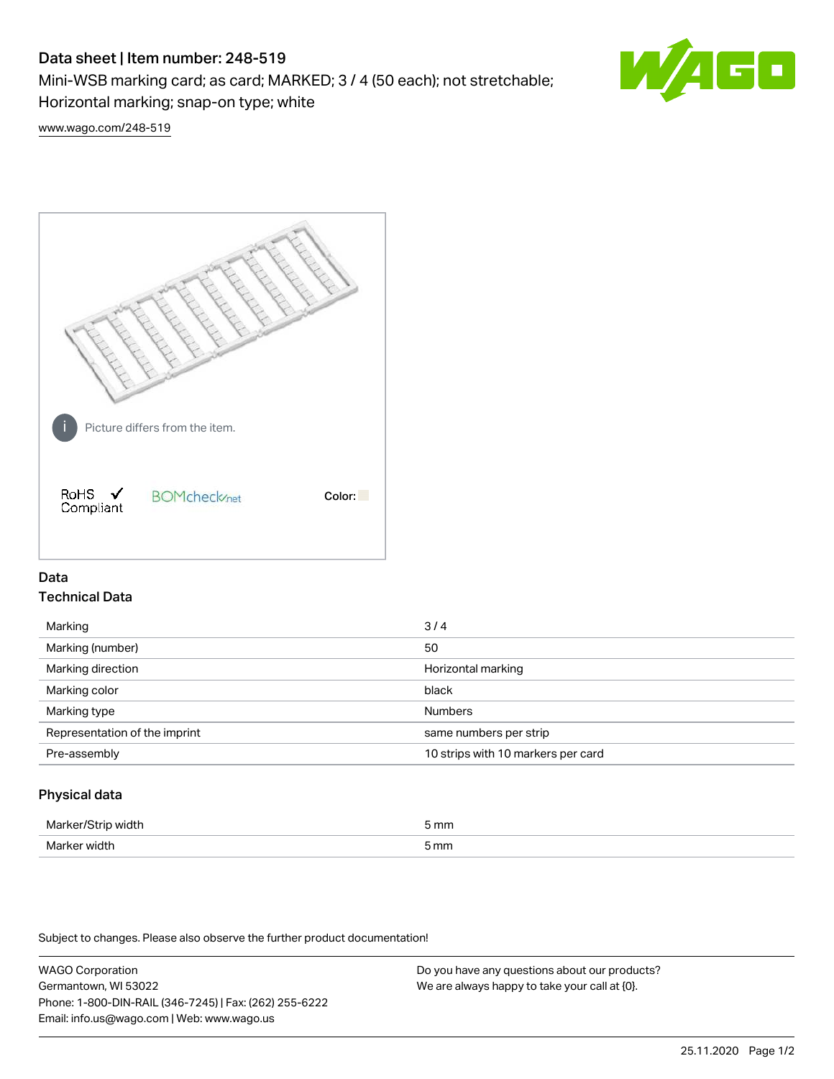# Data sheet | Item number: 248-519

Mini-WSB marking card; as card; MARKED; 3 / 4 (50 each); not stretchable;

Horizontal marking; snap-on type; white

[www.wago.com/248-519](http://www.wago.com/248-519)



## Data Technical Data

| Marking                       | 3/4                                |
|-------------------------------|------------------------------------|
| Marking (number)              | 50                                 |
| Marking direction             | Horizontal marking                 |
| Marking color                 | black                              |
| Marking type                  | <b>Numbers</b>                     |
| Representation of the imprint | same numbers per strip             |
| Pre-assembly                  | 10 strips with 10 markers per card |
|                               |                                    |

## Physical data

| Markar/S<br>71CI LE | 5 mm |
|---------------------|------|
| Marker width        | 5 mm |

Subject to changes. Please also observe the further product documentation!

WAGO Corporation Germantown, WI 53022 Phone: 1-800-DIN-RAIL (346-7245) | Fax: (262) 255-6222 Email: info.us@wago.com | Web: www.wago.us Do you have any questions about our products? We are always happy to take your call at {0}.

60